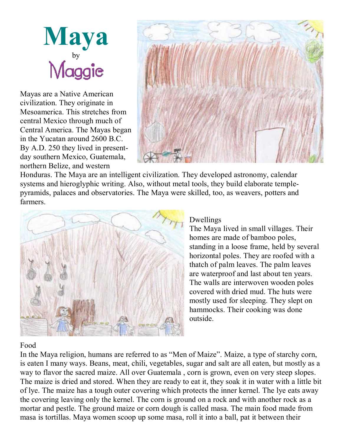

Mayas are a Native American civilization. They originate in Mesoamerica. This stretches from central Mexico through much of Central America. The Mayas began in the Yucatan around 2600 B.C. By A.D. 250 they lived in present day southern Mexico, Guatemala, northern Belize, and western



Honduras. The Maya are an intelligent civilization. They developed astronomy, calendar systems and hieroglyphic writing. Also, without metal tools, they build elaborate temple pyramids, palaces and observatories. The Maya were skilled, too, as weavers, potters and farmers.



## Dwellings

The Maya lived in small villages. Their homes are made of bamboo poles, standing in a loose frame, held by several horizontal poles. They are roofed with a thatch of palm leaves. The palm leaves are waterproof and last about ten years. The walls are interwoven wooden poles covered with dried mud. The huts were mostly used for sleeping. They slept on hammocks. Their cooking was done outside.

## Food

In the Maya religion, humans are referred to as "Men of Maize". Maize, a type of starchy corn, is eaten I many ways. Beans, meat, chili, vegetables, sugar and salt are all eaten, but mostly as a way to flavor the sacred maize. All over Guatemala , corn is grown, even on very steep slopes. The maize is dried and stored. When they are ready to eat it, they soak it in water with a little bit of lye. The maize has a tough outer covering which protects the inner kernel. The lye eats away the covering leaving only the kernel. The corn is ground on a rock and with another rock as a mortar and pestle. The ground maize or corn dough is called masa. The main food made from masa is tortillas. Maya women scoop up some masa, roll it into a ball, pat it between their